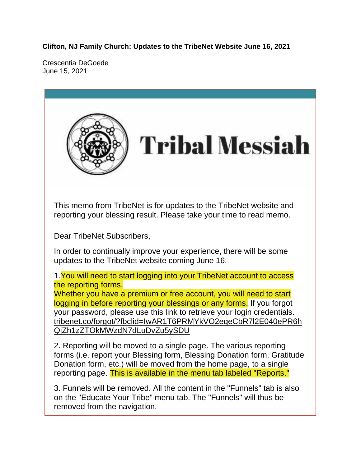**Clifton, NJ Family Church: Updates to the TribeNet Website June 16, 2021**

Crescentia DeGoede June 15, 2021



2. Reporting will be moved to a single page. The various reporting forms (i.e. report your Blessing form, Blessing Donation form, Gratitude Donation form, etc.) will be moved from the home page, to a single reporting page. This is available in the menu tab labeled "Reports."

3. Funnels will be removed. All the content in the "Funnels" tab is also on the "Educate Your Tribe" menu tab. The "Funnels" will thus be removed from the navigation.